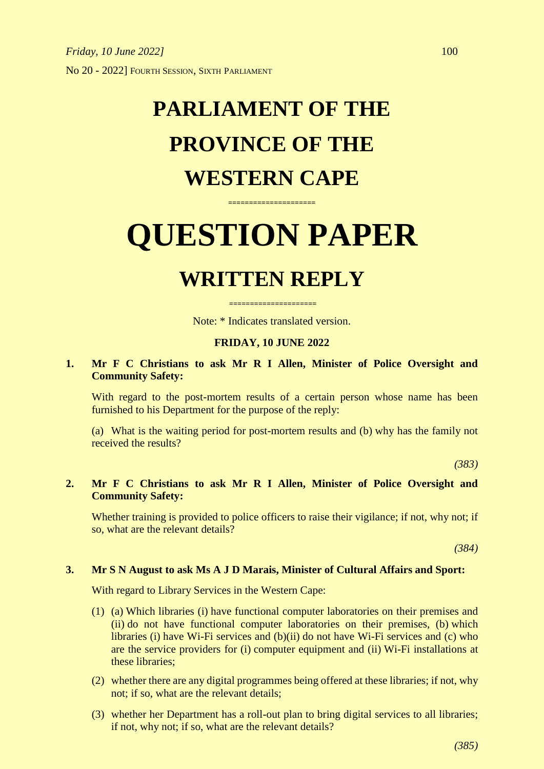## **PARLIAMENT OF THE PROVINCE OF THE WESTERN CAPE**

# **QUESTION PAPER**

**=====================**

### **WRITTEN REPLY**

Note: \* Indicates translated version.

**=====================**

#### **FRIDAY, 10 JUNE 2022**

#### **1. Mr F C Christians to ask Mr R I Allen, Minister of Police Oversight and Community Safety:**

With regard to the post-mortem results of a certain person whose name has been furnished to his Department for the purpose of the reply:

(a) What is the waiting period for post-mortem results and (b) why has the family not received the results?

*(383)*

#### **2. Mr F C Christians to ask Mr R I Allen, Minister of Police Oversight and Community Safety:**

Whether training is provided to police officers to raise their vigilance; if not, why not; if so, what are the relevant details?

*(384)*

#### **3. Mr S N August to ask Ms A J D Marais, Minister of Cultural Affairs and Sport:**

With regard to Library Services in the Western Cape:

- (1) (a) Which libraries (i) have functional computer laboratories on their premises and (ii) do not have functional computer laboratories on their premises, (b) which libraries (i) have Wi-Fi services and (b)(ii) do not have Wi-Fi services and (c) who are the service providers for (i) computer equipment and (ii) Wi-Fi installations at these libraries;
- (2) whether there are any digital programmes being offered at these libraries; if not, why not; if so, what are the relevant details;
- (3) whether her Department has a roll-out plan to bring digital services to all libraries; if not, why not; if so, what are the relevant details?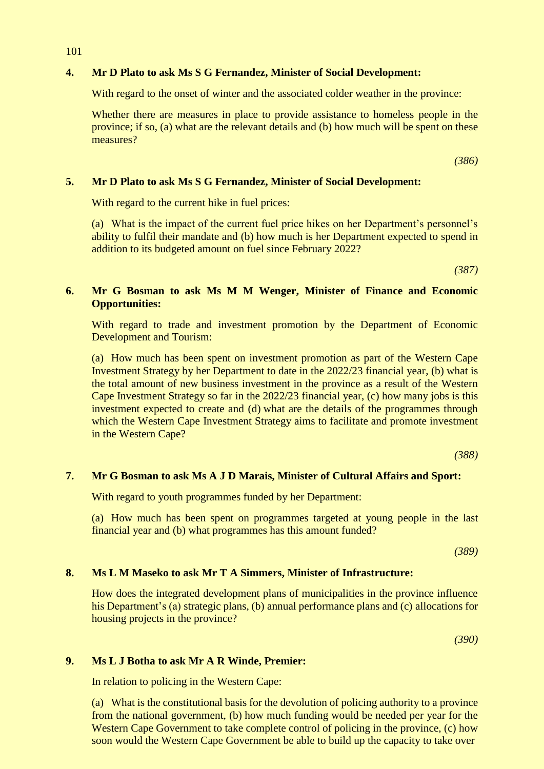#### **4. Mr D Plato to ask Ms S G Fernandez, Minister of Social Development:**

With regard to the onset of winter and the associated colder weather in the province:

Whether there are measures in place to provide assistance to homeless people in the province; if so, (a) what are the relevant details and (b) how much will be spent on these measures?

*(386)*

#### **5. Mr D Plato to ask Ms S G Fernandez, Minister of Social Development:**

With regard to the current hike in fuel prices:

(a) What is the impact of the current fuel price hikes on her Department's personnel's ability to fulfil their mandate and (b) how much is her Department expected to spend in addition to its budgeted amount on fuel since February 2022?

*(387)*

#### **6. Mr G Bosman to ask Ms M M Wenger, Minister of Finance and Economic Opportunities:**

With regard to trade and investment promotion by the Department of Economic Development and Tourism:

(a) How much has been spent on investment promotion as part of the Western Cape Investment Strategy by her Department to date in the 2022/23 financial year, (b) what is the total amount of new business investment in the province as a result of the Western Cape Investment Strategy so far in the 2022/23 financial year, (c) how many jobs is this investment expected to create and (d) what are the details of the programmes through which the Western Cape Investment Strategy aims to facilitate and promote investment in the Western Cape?

*(388)*

#### **7. Mr G Bosman to ask Ms A J D Marais, Minister of Cultural Affairs and Sport:**

With regard to youth programmes funded by her Department:

(a) How much has been spent on programmes targeted at young people in the last financial year and (b) what programmes has this amount funded?

*(389)*

#### **8. Ms L M Maseko to ask Mr T A Simmers, Minister of Infrastructure:**

How does the integrated development plans of municipalities in the province influence his Department's (a) strategic plans, (b) annual performance plans and (c) allocations for housing projects in the province?

*(390)*

#### **9. Ms L J Botha to ask Mr A R Winde, Premier:**

In relation to policing in the Western Cape:

(a) What is the constitutional basis for the devolution of policing authority to a province from the national government, (b) how much funding would be needed per year for the Western Cape Government to take complete control of policing in the province, (c) how soon would the Western Cape Government be able to build up the capacity to take over

101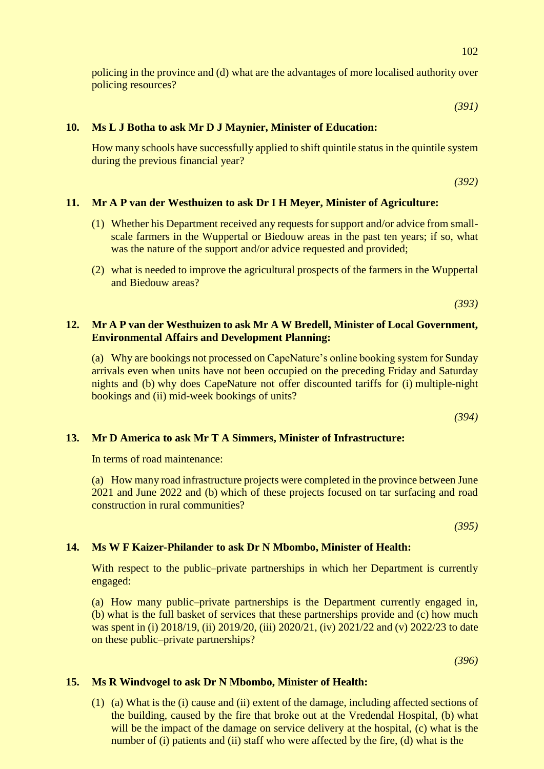policing in the province and (d) what are the advantages of more localised authority over policing resources?

*(391)*

#### **10. Ms L J Botha to ask Mr D J Maynier, Minister of Education:**

How many schools have successfully applied to shift quintile status in the quintile system during the previous financial year?

*(392)*

#### **11. Mr A P van der Westhuizen to ask Dr I H Meyer, Minister of Agriculture:**

- (1) Whether his Department received any requests for support and/or advice from smallscale farmers in the Wuppertal or Biedouw areas in the past ten years; if so, what was the nature of the support and/or advice requested and provided;
- (2) what is needed to improve the agricultural prospects of the farmers in the Wuppertal and Biedouw areas?

*(393)*

#### **12. Mr A P van der Westhuizen to ask Mr A W Bredell, Minister of Local Government, Environmental Affairs and Development Planning:**

(a) Why are bookings not processed on CapeNature's online booking system for Sunday arrivals even when units have not been occupied on the preceding Friday and Saturday nights and (b) why does CapeNature not offer discounted tariffs for (i) multiple-night bookings and (ii) mid-week bookings of units?

*(394)*

#### **13. Mr D America to ask Mr T A Simmers, Minister of Infrastructure:**

In terms of road maintenance:

(a) How many road infrastructure projects were completed in the province between June 2021 and June 2022 and (b) which of these projects focused on tar surfacing and road construction in rural communities?

*(395)*

#### **14. Ms W F Kaizer-Philander to ask Dr N Mbombo, Minister of Health:**

With respect to the public–private partnerships in which her Department is currently engaged:

(a) How many public–private partnerships is the Department currently engaged in, (b) what is the full basket of services that these partnerships provide and (c) how much was spent in (i) 2018/19, (ii) 2019/20, (iii) 2020/21, (iv) 2021/22 and (v) 2022/23 to date on these public–private partnerships?

*(396)*

#### **15. Ms R Windvogel to ask Dr N Mbombo, Minister of Health:**

(1) (a) What is the (i) cause and (ii) extent of the damage, including affected sections of the building, caused by the fire that broke out at the Vredendal Hospital, (b) what will be the impact of the damage on service delivery at the hospital, (c) what is the number of (i) patients and (ii) staff who were affected by the fire, (d) what is the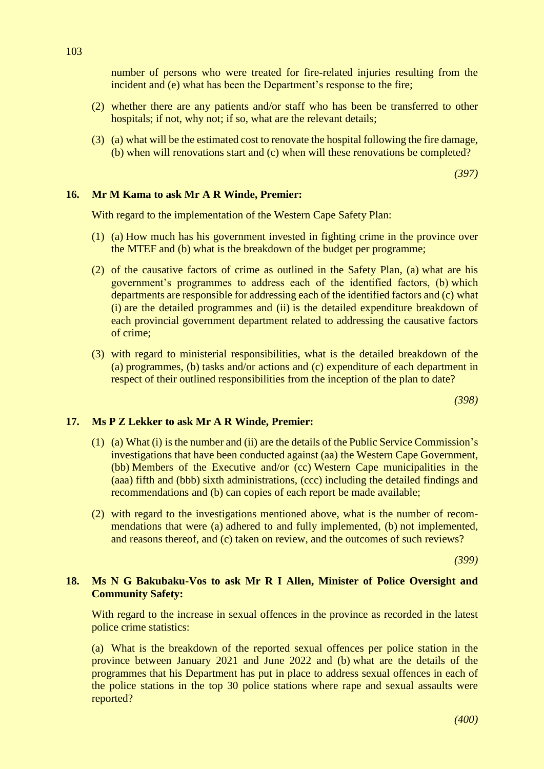number of persons who were treated for fire-related injuries resulting from the incident and (e) what has been the Department's response to the fire;

- (2) whether there are any patients and/or staff who has been be transferred to other hospitals; if not, why not; if so, what are the relevant details;
- (3) (a) what will be the estimated cost to renovate the hospital following the fire damage, (b) when will renovations start and (c) when will these renovations be completed?

*(397)*

#### **16. Mr M Kama to ask Mr A R Winde, Premier:**

With regard to the implementation of the Western Cape Safety Plan:

- (1) (a) How much has his government invested in fighting crime in the province over the MTEF and (b) what is the breakdown of the budget per programme;
- (2) of the causative factors of crime as outlined in the Safety Plan, (a) what are his government's programmes to address each of the identified factors, (b) which departments are responsible for addressing each of the identified factors and (c) what (i) are the detailed programmes and (ii) is the detailed expenditure breakdown of each provincial government department related to addressing the causative factors of crime;
- (3) with regard to ministerial responsibilities, what is the detailed breakdown of the (a) programmes, (b) tasks and/or actions and (c) expenditure of each department in respect of their outlined responsibilities from the inception of the plan to date?

*(398)*

#### **17. Ms P Z Lekker to ask Mr A R Winde, Premier:**

- (1) (a) What (i) is the number and (ii) are the details of the Public Service Commission's investigations that have been conducted against (aa) the Western Cape Government, (bb) Members of the Executive and/or (cc) Western Cape municipalities in the (aaa) fifth and (bbb) sixth administrations, (ccc) including the detailed findings and recommendations and (b) can copies of each report be made available;
- (2) with regard to the investigations mentioned above, what is the number of recommendations that were (a) adhered to and fully implemented, (b) not implemented, and reasons thereof, and (c) taken on review, and the outcomes of such reviews?

*(399)*

#### **18. Ms N G Bakubaku-Vos to ask Mr R I Allen, Minister of Police Oversight and Community Safety:**

With regard to the increase in sexual offences in the province as recorded in the latest police crime statistics:

(a) What is the breakdown of the reported sexual offences per police station in the province between January 2021 and June 2022 and (b) what are the details of the programmes that his Department has put in place to address sexual offences in each of the police stations in the top 30 police stations where rape and sexual assaults were reported?